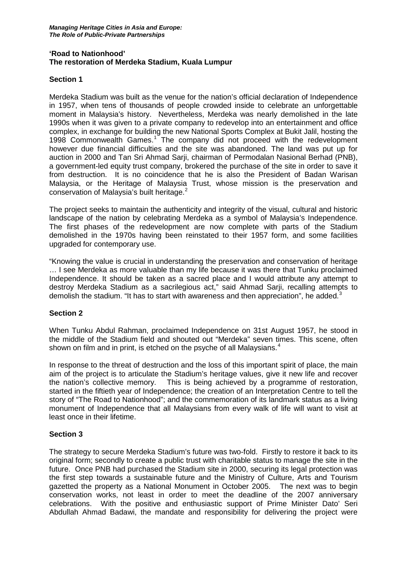### **'Road to Nationhood' The restoration of Merdeka Stadium, Kuala Lumpur**

# **Section 1**

Merdeka Stadium was built as the venue for the nation's official declaration of Independence in 1957, when tens of thousands of people crowded inside to celebrate an unforgettable moment in Malaysia's history. Nevertheless, Merdeka was nearly demolished in the late 1990s when it was given to a private company to redevelop into an entertainment and office complex, in exchange for building the new National Sports Complex at Bukit Jalil, hosting the [1](#page-3-0)998 Commonwealth Games.<sup>1</sup> The company did not proceed with the redevelopment however due financial difficulties and the site was abandoned. The land was put up for auction in 2000 and Tan Sri Ahmad Sarji, chairman of Permodalan Nasional Berhad (PNB), a government-led equity trust company, brokered the purchase of the site in order to save it from destruction. It is no coincidence that he is also the President of Badan Warisan Malaysia, or the Heritage of Malaysia Trust, whose mission is the preservation and conservation of Malaysia's built heritage.[2](#page-3-1)

The project seeks to maintain the authenticity and integrity of the visual, cultural and historic landscape of the nation by celebrating Merdeka as a symbol of Malaysia's Independence. The first phases of the redevelopment are now complete with parts of the Stadium demolished in the 1970s having been reinstated to their 1957 form, and some facilities upgraded for contemporary use.

"Knowing the value is crucial in understanding the preservation and conservation of heritage … I see Merdeka as more valuable than my life because it was there that Tunku proclaimed Independence. It should be taken as a sacred place and I would attribute any attempt to destroy Merdeka Stadium as a sacrilegious act," said Ahmad Sarji, recalling attempts to demolish the stadium. "It has to start with awareness and then appreciation", he added.<sup>[3](#page-3-2)</sup>

### **Section 2**

When Tunku Abdul Rahman, proclaimed Independence on 31st August 1957, he stood in the middle of the Stadium field and shouted out "Merdeka" seven times. This scene, often shown on film and in print, is etched on the psyche of all Malaysians.<sup>[4](#page-3-3)</sup>

In response to the threat of destruction and the loss of this important spirit of place, the main aim of the project is to articulate the Stadium's heritage values, give it new life and recover the nation's collective memory. This is being achieved by a programme of restoration, started in the fiftieth year of Independence; the creation of an Interpretation Centre to tell the story of "The Road to Nationhood"; and the commemoration of its landmark status as a living monument of Independence that all Malaysians from every walk of life will want to visit at least once in their lifetime.

### **Section 3**

The strategy to secure Merdeka Stadium's future was two-fold. Firstly to restore it back to its original form; secondly to create a public trust with charitable status to manage the site in the future. Once PNB had purchased the Stadium site in 2000, securing its legal protection was the first step towards a sustainable future and the Ministry of Culture, Arts and Tourism gazetted the property as a National Monument in October 2005. The next was to begin conservation works, not least in order to meet the deadline of the 2007 anniversary celebrations. With the positive and enthusiastic support of Prime Minister Dato' Seri Abdullah Ahmad Badawi, the mandate and responsibility for delivering the project were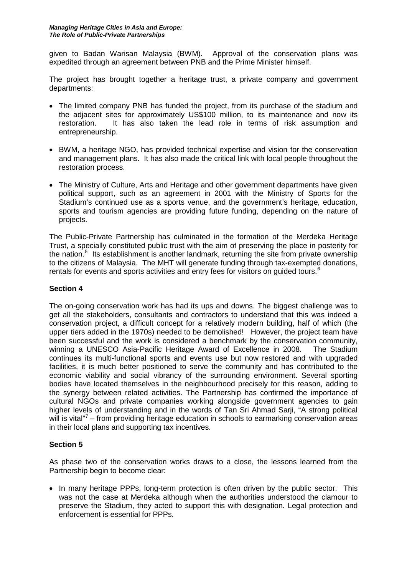given to Badan Warisan Malaysia (BWM). Approval of the conservation plans was expedited through an agreement between PNB and the Prime Minister himself.

The project has brought together a heritage trust, a private company and government departments:

- The limited company PNB has funded the project, from its purchase of the stadium and the adjacent sites for approximately US\$100 million, to its maintenance and now its restoration. It has also taken the lead role in terms of risk assumption and entrepreneurship.
- BWM, a heritage NGO, has provided technical expertise and vision for the conservation and management plans. It has also made the critical link with local people throughout the restoration process.
- The Ministry of Culture, Arts and Heritage and other government departments have given political support, such as an agreement in 2001 with the Ministry of Sports for the Stadium's continued use as a sports venue, and the government's heritage, education, sports and tourism agencies are providing future funding, depending on the nature of projects.

The Public-Private Partnership has culminated in the formation of the Merdeka Heritage Trust, a specially constituted public trust with the aim of preserving the place in posterity for the nation.<sup>[5](#page-3-4)</sup> Its establishment is another landmark, returning the site from private ownership to the citizens of Malaysia. The MHT will generate funding through tax-exempted donations, rentals for events and sports activities and entry fees for visitors on guided tours.<sup>[6](#page-3-5)</sup>

## **Section 4**

The on-going conservation work has had its ups and downs. The biggest challenge was to get all the stakeholders, consultants and contractors to understand that this was indeed a conservation project, a difficult concept for a relatively modern building, half of which (the upper tiers added in the 1970s) needed to be demolished! However, the project team have been successful and the work is considered a benchmark by the conservation community, winning a UNESCO Asia-Pacific Heritage Award of Excellence in 2008. The Stadium continues its multi-functional sports and events use but now restored and with upgraded facilities, it is much better positioned to serve the community and has contributed to the economic viability and social vibrancy of the surrounding environment. Several sporting bodies have located themselves in the neighbourhood precisely for this reason, adding to the synergy between related activities. The Partnership has confirmed the importance of cultural NGOs and private companies working alongside government agencies to gain higher levels of understanding and in the words of Tan Sri Ahmad Sarji, "A strong political will is vital"<sup>[7](#page-3-6)</sup> – from providing heritage education in schools to earmarking conservation areas in their local plans and supporting tax incentives.

# **Section 5**

As phase two of the conservation works draws to a close, the lessons learned from the Partnership begin to become clear:

• In many heritage PPPs, long-term protection is often driven by the public sector. This was not the case at Merdeka although when the authorities understood the clamour to preserve the Stadium, they acted to support this with designation. Legal protection and enforcement is essential for PPPs.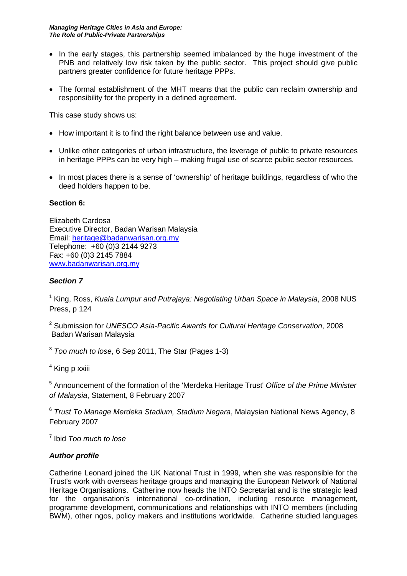- In the early stages, this partnership seemed imbalanced by the huge investment of the PNB and relatively low risk taken by the public sector. This project should give public partners greater confidence for future heritage PPPs.
- The formal establishment of the MHT means that the public can reclaim ownership and responsibility for the property in a defined agreement.

This case study shows us:

- How important it is to find the right balance between use and value.
- Unlike other categories of urban infrastructure, the leverage of public to private resources in heritage PPPs can be very high – making frugal use of scarce public sector resources.
- In most places there is a sense of 'ownership' of heritage buildings, regardless of who the deed holders happen to be.

# **Section 6:**

Elizabeth Cardosa Executive Director, Badan Warisan Malaysia Email: [heritage@badanwarisan.org.my](mailto:heritage@badanwarisan.org.my) Telephone: +60 (0)3 2144 9273 Fax: +60 (0)3 2145 7884 [www.badanwarisan.org.my](http://www.badanwarisan.org.my/)

# *Section 7*

<sup>1</sup> King, Ross, *Kuala Lumpur and Putrajaya: Negotiating Urban Space in Malaysia*, 2008 NUS Press, p 124

<sup>2</sup> Submission for *UNESCO Asia-Pacific Awards for Cultural Heritage Conservation*, 2008 Badan Warisan Malaysia

<sup>3</sup> *Too much to lose*, 6 Sep 2011, The Star (Pages 1-3)

<sup>4</sup> King p xxiii

<sup>5</sup> Announcement of the formation of the 'Merdeka Heritage Trust' *Office of the Prime Minister of Malaysia*, Statement, 8 February 2007

<sup>6</sup> *Trust To Manage Merdeka Stadium, Stadium Negara*, Malaysian National News Agency, 8 February 2007

<sup>7</sup> Ibid *Too much to lose*

# *Author profile*

Catherine Leonard joined the UK National Trust in 1999, when she was responsible for the Trust's work with overseas heritage groups and managing the European Network of National Heritage Organisations. Catherine now heads the INTO Secretariat and is the strategic lead for the organisation's international co-ordination, including resource management, programme development, communications and relationships with INTO members (including BWM), other ngos, policy makers and institutions worldwide. Catherine studied languages